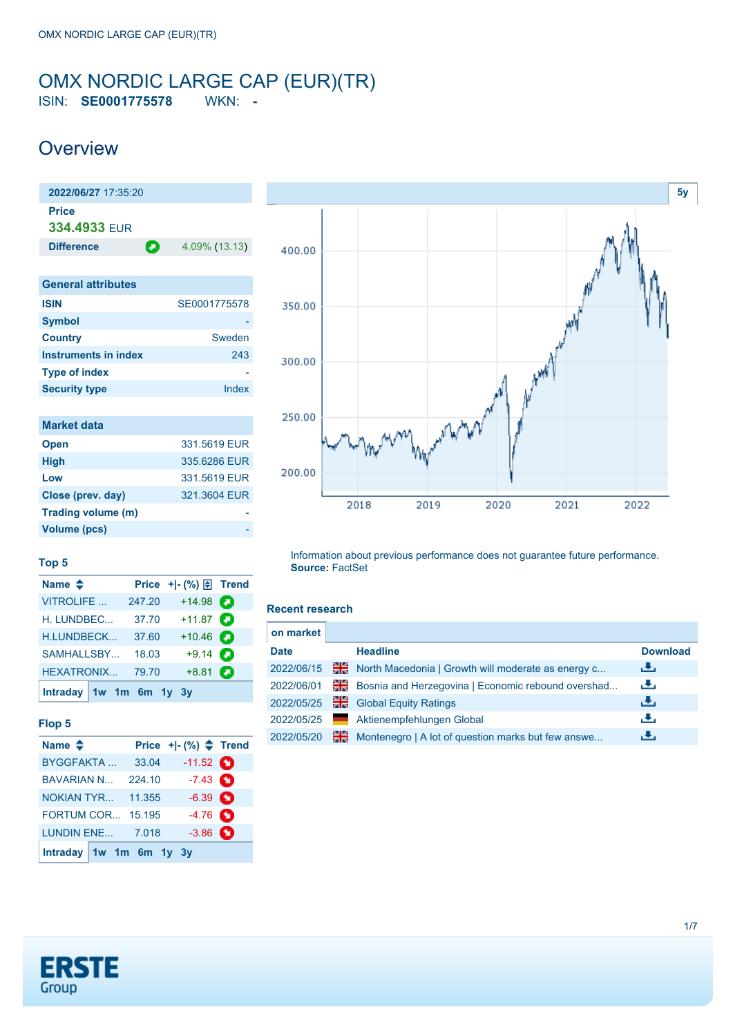### <span id="page-0-0"></span>OMX NORDIC LARGE CAP (EUR)(TR) ISIN: **SE0001775578** WKN: **-**

## **Overview**

| 2022/06/27 17:35:20          |               |
|------------------------------|---------------|
| <b>Price</b><br>334.4933 FUR |               |
|                              |               |
| Θ<br><b>Difference</b>       | 4.09% (13.13) |
|                              |               |
| <b>General attributes</b>    |               |
| <b>ISIN</b>                  | SE0001775578  |
| Symbol                       |               |
| <b>Country</b>               | Sweden        |
| <b>Instruments in index</b>  | 243           |
| <b>Type of index</b>         |               |
| <b>Security type</b>         | Index         |
|                              |               |
| <b>Market data</b>           |               |
| <b>Open</b>                  | 331.5619 EUR  |
| <b>High</b>                  | 335.6286 EUR  |

**Low** 331.5619 EUR **Close (prev. day)** 321.3604 EUR **Trading volume (m)** -



#### **Top 5**

**Volume (pcs)** 

| Name $\triangleq$       |        | Price $+$ $ \binom{9}{0}$ $\boxed{\frac{1}{2}}$ Trend |   |
|-------------------------|--------|-------------------------------------------------------|---|
| <b>VITROLIFE</b>        | 247.20 | $+14.98$                                              |   |
| H. LUNDBEC              | 37.70  | $+11.87$ $\Box$                                       |   |
| <b>H.LUNDBECK</b>       | 37.60  | $+10.46$                                              |   |
| SAMHALLSBY              | 18.03  | $+9.14$                                               | О |
| <b>HEXATRONIX</b>       | 79.70  | $+8.81$                                               | о |
| Intraday 1w 1m 6m 1y 3y |        |                                                       |   |

#### **Flop 5**

| Name $\triangleq$        |                         | Price $+[-(%) \triangleq$ Trend |  |
|--------------------------|-------------------------|---------------------------------|--|
| <b>BYGGFAKTA</b>         | 33.04                   | $-11.52$ $\bullet$              |  |
| <b>BAVARIAN N</b>        | 224.10                  | $-7.43$ $\bullet$               |  |
| <b>NOKIAN TYR</b>        | 11.355                  | $-6.39$ $\bullet$               |  |
| <b>FORTUM COR 15.195</b> |                         | $-4.76$ $\odot$                 |  |
| <b>LUNDIN ENE 7.018</b>  |                         | $-3.86$ $\bullet$               |  |
|                          | Intraday 1w 1m 6m 1y 3y |                                 |  |

Information about previous performance does not guarantee future performance. **Source:** FactSet

#### **Recent research**

| on market   |    |                                                    |                 |
|-------------|----|----------------------------------------------------|-----------------|
| <b>Date</b> |    | <b>Headline</b>                                    | <b>Download</b> |
| 2022/06/15  | 픪중 | North Macedonia   Growth will moderate as energy c | رنان            |
| 2022/06/01  | ₩€ | Bosnia and Herzegovina   Economic rebound overshad | رنان            |
| 2022/05/25  | 픪쯩 | <b>Global Equity Ratings</b>                       | رىلى            |
| 2022/05/25  |    | Aktienempfehlungen Global                          | رنان            |
| 2022/05/20  | 꾊  | Montenegro   A lot of question marks but few answe | æ,              |

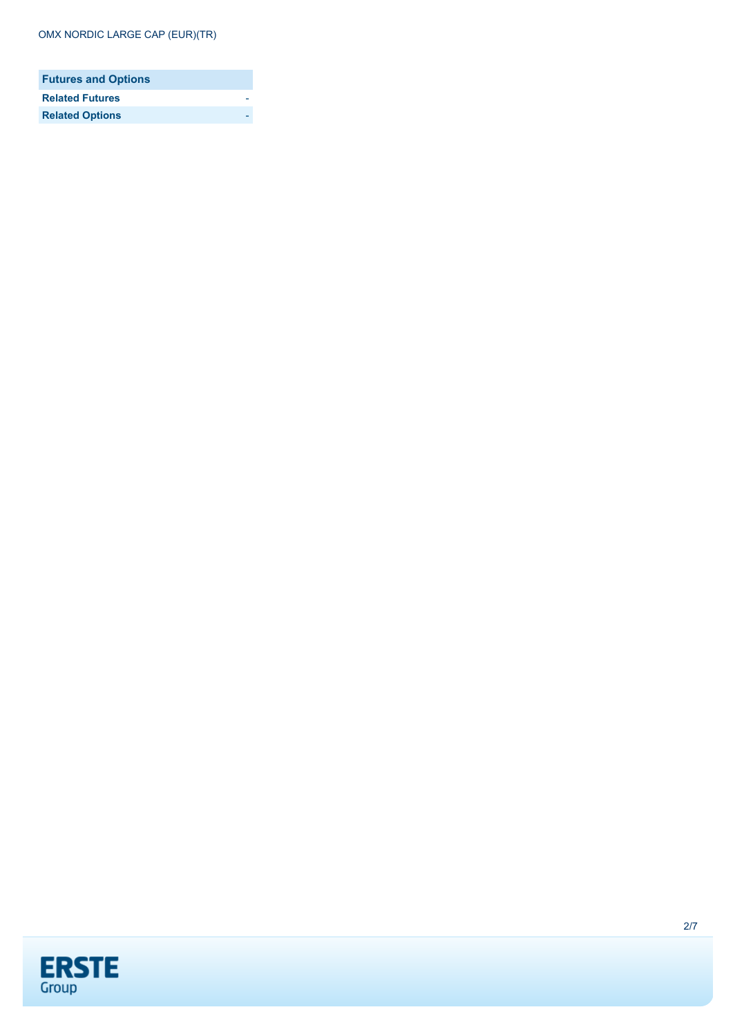| <b>Futures and Options</b> |  |
|----------------------------|--|
| <b>Related Futures</b>     |  |
| <b>Related Options</b>     |  |

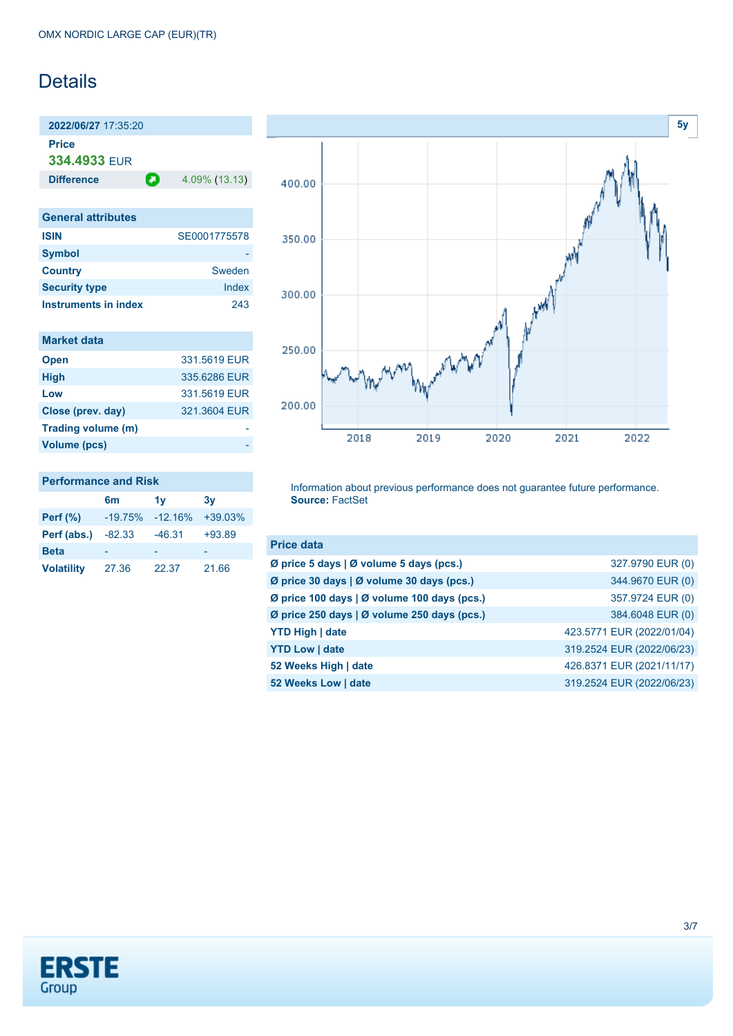## Details

**2022/06/27** 17:35:20

**Price 334.4933** EUR

**Difference** 4.09% (13.13)

| <b>General attributes</b>   |              |
|-----------------------------|--------------|
| <b>ISIN</b>                 | SE0001775578 |
| <b>Symbol</b>               |              |
| <b>Country</b>              | Sweden       |
| <b>Security type</b>        | Index        |
| <b>Instruments in index</b> | 243          |

| <b>Market data</b> |              |
|--------------------|--------------|
| <b>Open</b>        | 331,5619 EUR |
| <b>High</b>        | 335.6286 EUR |
| Low                | 331.5619 EUR |
| Close (prev. day)  | 321.3604 EUR |
| Trading volume (m) |              |
| Volume (pcs)       |              |



### **Performance and Risk**

|                   | 6m        | 1v        | 3v        |
|-------------------|-----------|-----------|-----------|
| <b>Perf</b> (%)   | $-19.75%$ | $-12.16%$ | $+39.03%$ |
| Perf (abs.)       | $-82.33$  | $-46.31$  | $+93.89$  |
| <b>Beta</b>       |           |           |           |
| <b>Volatility</b> | 27.36     | 22.37     | 21.66     |

Information about previous performance does not guarantee future performance. **Source:** FactSet

| <b>Price data</b>                           |                           |
|---------------------------------------------|---------------------------|
| Ø price 5 days   Ø volume 5 days (pcs.)     | 327.9790 EUR (0)          |
| Ø price 30 days   Ø volume 30 days (pcs.)   | 344.9670 EUR (0)          |
| Ø price 100 days   Ø volume 100 days (pcs.) | 357.9724 EUR (0)          |
| Ø price 250 days   Ø volume 250 days (pcs.) | 384.6048 EUR (0)          |
| <b>YTD High   date</b>                      | 423.5771 EUR (2022/01/04) |
| <b>YTD Low   date</b>                       | 319.2524 EUR (2022/06/23) |
| 52 Weeks High   date                        | 426.8371 EUR (2021/11/17) |
| 52 Weeks Low   date                         | 319.2524 EUR (2022/06/23) |

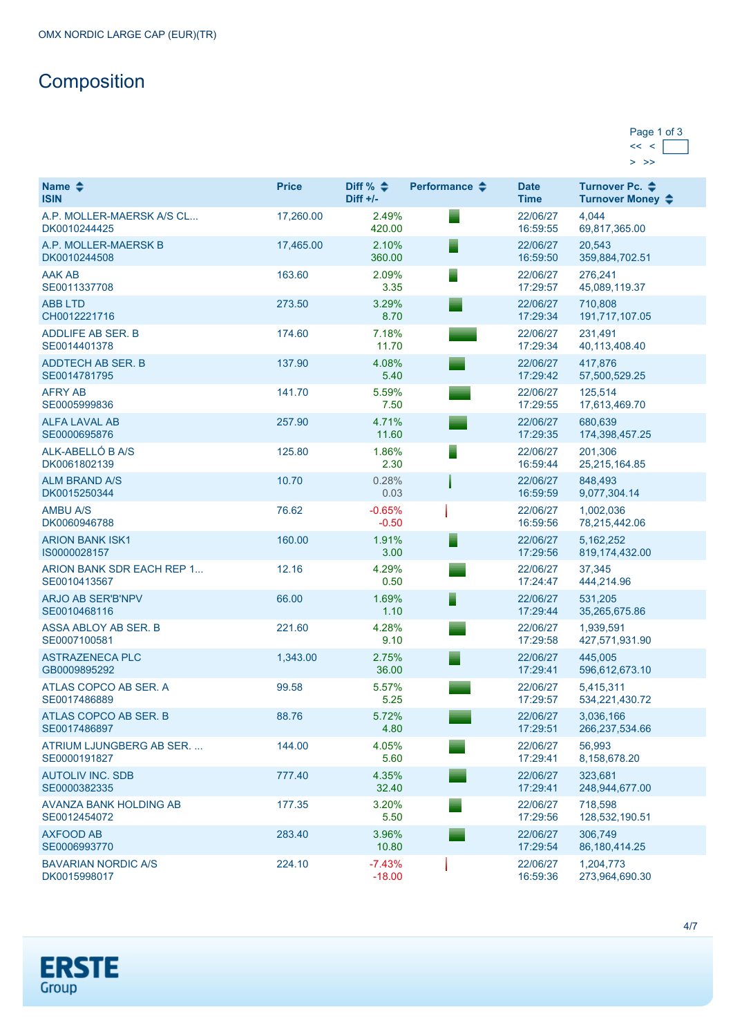# **Composition**

| Page 1 of 3 |  |
|-------------|--|
|             |  |
|             |  |

| Name $\clubsuit$<br><b>ISIN</b>            | <b>Price</b> | Diff % $\div$<br>$Diff +/-$ | Performance $\triangle$ | <b>Date</b><br><b>Time</b> | Turnover Pc. ♦<br>Turnover Money ♦ |
|--------------------------------------------|--------------|-----------------------------|-------------------------|----------------------------|------------------------------------|
| A.P. MOLLER-MAERSK A/S CL<br>DK0010244425  | 17,260.00    | 2.49%<br>420.00             |                         | 22/06/27<br>16:59:55       | 4.044<br>69,817,365.00             |
| A.P. MOLLER-MAERSK B<br>DK0010244508       | 17,465.00    | 2.10%<br>360.00             |                         | 22/06/27<br>16:59:50       | 20,543<br>359,884,702.51           |
| <b>AAK AB</b><br>SE0011337708              | 163.60       | 2.09%<br>3.35               |                         | 22/06/27<br>17:29:57       | 276,241<br>45,089,119.37           |
| <b>ABB LTD</b><br>CH0012221716             | 273.50       | 3.29%<br>8.70               |                         | 22/06/27<br>17:29:34       | 710.808<br>191,717,107.05          |
| ADDLIFE AB SER. B<br>SE0014401378          | 174.60       | 7.18%<br>11.70              |                         | 22/06/27<br>17:29:34       | 231.491<br>40,113,408.40           |
| ADDTECH AB SER. B<br>SE0014781795          | 137.90       | 4.08%<br>5.40               |                         | 22/06/27<br>17:29:42       | 417,876<br>57,500,529.25           |
| <b>AFRY AB</b><br>SE0005999836             | 141.70       | 5.59%<br>7.50               |                         | 22/06/27<br>17:29:55       | 125,514<br>17,613,469.70           |
| <b>ALFA LAVAL AB</b><br>SE0000695876       | 257.90       | 4.71%<br>11.60              |                         | 22/06/27<br>17:29:35       | 680,639<br>174,398,457.25          |
| ALK-ABELLÓ B A/S<br>DK0061802139           | 125.80       | 1.86%<br>2.30               |                         | 22/06/27<br>16:59:44       | 201,306<br>25,215,164.85           |
| <b>ALM BRAND A/S</b><br>DK0015250344       | 10.70        | 0.28%<br>0.03               |                         | 22/06/27<br>16:59:59       | 848,493<br>9,077,304.14            |
| <b>AMBU A/S</b><br>DK0060946788            | 76.62        | $-0.65%$<br>$-0.50$         |                         | 22/06/27<br>16:59:56       | 1,002,036<br>78,215,442.06         |
| <b>ARION BANK ISK1</b><br>IS0000028157     | 160.00       | 1.91%<br>3.00               |                         | 22/06/27<br>17:29:56       | 5, 162, 252<br>819,174,432.00      |
| ARION BANK SDR EACH REP 1<br>SE0010413567  | 12.16        | 4.29%<br>0.50               |                         | 22/06/27<br>17:24:47       | 37,345<br>444,214.96               |
| <b>ARJO AB SER'B'NPV</b><br>SE0010468116   | 66.00        | 1.69%<br>1.10               |                         | 22/06/27<br>17:29:44       | 531,205<br>35,265,675.86           |
| ASSA ABLOY AB SER. B<br>SE0007100581       | 221.60       | 4.28%<br>9.10               |                         | 22/06/27<br>17:29:58       | 1,939,591<br>427,571,931.90        |
| <b>ASTRAZENECA PLC</b><br>GB0009895292     | 1,343.00     | 2.75%<br>36.00              |                         | 22/06/27<br>17:29:41       | 445,005<br>596,612,673.10          |
| ATLAS COPCO AB SER. A<br>SE0017486889      | 99.58        | 5.57%<br>5.25               |                         | 22/06/27<br>17:29:57       | 5,415,311<br>534,221,430.72        |
| ATLAS COPCO AB SER. B<br>SE0017486897      | 88.76        | 5.72%<br>4.80               |                         | 22/06/27<br>17:29:51       | 3,036,166<br>266,237,534.66        |
| ATRIUM LJUNGBERG AB SER.<br>SE0000191827   | 144.00       | 4.05%<br>5.60               |                         | 22/06/27<br>17:29:41       | 56,993<br>8,158,678.20             |
| <b>AUTOLIV INC. SDB</b><br>SE0000382335    | 777.40       | 4.35%<br>32.40              |                         | 22/06/27<br>17:29:41       | 323,681<br>248,944,677.00          |
| AVANZA BANK HOLDING AB<br>SE0012454072     | 177.35       | 3.20%<br>5.50               |                         | 22/06/27<br>17:29:56       | 718,598<br>128,532,190.51          |
| <b>AXFOOD AB</b><br>SE0006993770           | 283.40       | 3.96%<br>10.80              |                         | 22/06/27<br>17:29:54       | 306,749<br>86, 180, 414. 25        |
| <b>BAVARIAN NORDIC A/S</b><br>DK0015998017 | 224.10       | $-7.43%$<br>$-18.00$        |                         | 22/06/27<br>16:59:36       | 1,204,773<br>273,964,690.30        |

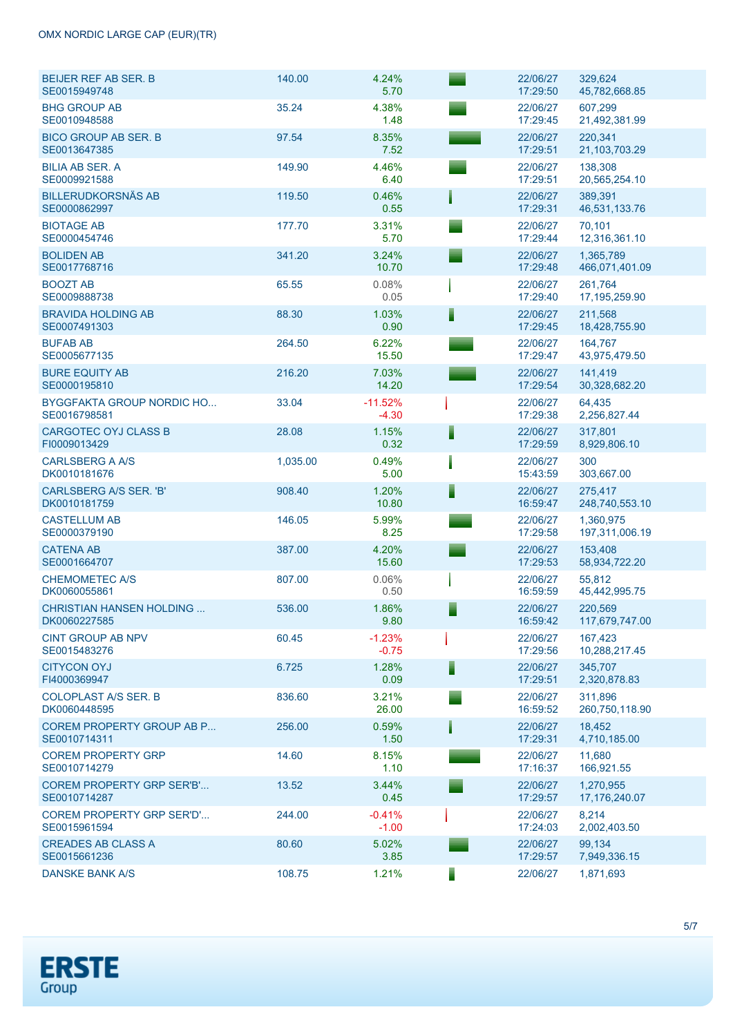| <b>BEIJER REF AB SER. B</b><br>SE0015949748      | 140.00   | 4.24%<br>5.70        | 22/06/27<br>17:29:50 | 329,624<br>45,782,668.85    |
|--------------------------------------------------|----------|----------------------|----------------------|-----------------------------|
| <b>BHG GROUP AB</b><br>SE0010948588              | 35.24    | 4.38%<br>1.48        | 22/06/27<br>17:29:45 | 607.299<br>21,492,381.99    |
| <b>BICO GROUP AB SER. B</b><br>SE0013647385      | 97.54    | 8.35%<br>7.52        | 22/06/27<br>17:29:51 | 220,341<br>21,103,703.29    |
| <b>BILIA AB SER. A</b><br>SE0009921588           | 149.90   | 4.46%<br>6.40        | 22/06/27<br>17:29:51 | 138,308<br>20,565,254.10    |
| <b>BILLERUDKORSNÄS AB</b><br>SE0000862997        | 119.50   | 0.46%<br>0.55        | 22/06/27<br>17:29:31 | 389,391<br>46,531,133.76    |
| <b>BIOTAGE AB</b><br>SE0000454746                | 177.70   | 3.31%<br>5.70        | 22/06/27<br>17:29:44 | 70,101<br>12,316,361.10     |
| <b>BOLIDEN AB</b><br>SE0017768716                | 341.20   | 3.24%<br>10.70       | 22/06/27<br>17:29:48 | 1,365,789<br>466,071,401.09 |
| <b>BOOZT AB</b><br>SE0009888738                  | 65.55    | 0.08%<br>0.05        | 22/06/27<br>17:29:40 | 261,764<br>17,195,259.90    |
| <b>BRAVIDA HOLDING AB</b><br>SE0007491303        | 88.30    | 1.03%<br>0.90        | 22/06/27<br>17:29:45 | 211,568<br>18,428,755.90    |
| <b>BUFAB AB</b><br>SE0005677135                  | 264.50   | 6.22%<br>15.50       | 22/06/27<br>17:29:47 | 164.767<br>43,975,479.50    |
| <b>BURE EQUITY AB</b><br>SE0000195810            | 216.20   | 7.03%<br>14.20       | 22/06/27<br>17:29:54 | 141,419<br>30,328,682.20    |
| <b>BYGGFAKTA GROUP NORDIC HO</b><br>SE0016798581 | 33.04    | $-11.52%$<br>$-4.30$ | 22/06/27<br>17:29:38 | 64,435<br>2,256,827.44      |
| <b>CARGOTEC OYJ CLASS B</b><br>FI0009013429      | 28.08    | 1.15%<br>0.32        | 22/06/27<br>17:29:59 | 317,801<br>8,929,806.10     |
| <b>CARLSBERG A A/S</b><br>DK0010181676           | 1,035.00 | 0.49%<br>5.00        | 22/06/27<br>15:43:59 | 300<br>303,667.00           |
| CARLSBERG A/S SER. 'B'<br>DK0010181759           | 908.40   | 1.20%<br>10.80       | 22/06/27<br>16:59:47 | 275,417<br>248,740,553.10   |
| <b>CASTELLUM AB</b><br>SE0000379190              | 146.05   | 5.99%<br>8.25        | 22/06/27<br>17:29:58 | 1,360,975<br>197,311,006.19 |
| <b>CATENA AB</b><br>SE0001664707                 | 387.00   | 4.20%<br>15.60       | 22/06/27<br>17:29:53 | 153,408<br>58,934,722.20    |
| <b>CHEMOMETEC A/S</b><br>DK0060055861            | 807.00   | 0.06%<br>0.50        | 22/06/27<br>16:59:59 | 55,812<br>45,442,995.75     |
| <b>CHRISTIAN HANSEN HOLDING</b><br>DK0060227585  | 536.00   | 1.86%<br>9.80        | 22/06/27<br>16:59:42 | 220,569<br>117,679,747.00   |
| <b>CINT GROUP AB NPV</b><br>SE0015483276         | 60.45    | $-1.23%$<br>$-0.75$  | 22/06/27<br>17:29:56 | 167,423<br>10,288,217.45    |
| <b>CITYCON OYJ</b><br>FI4000369947               | 6.725    | 1.28%<br>0.09        | 22/06/27<br>17:29:51 | 345,707<br>2,320,878.83     |
| <b>COLOPLAST A/S SER. B</b><br>DK0060448595      | 836.60   | 3.21%<br>26.00       | 22/06/27<br>16:59:52 | 311.896<br>260,750,118.90   |
| <b>COREM PROPERTY GROUP AB P</b><br>SE0010714311 | 256.00   | 0.59%<br>1.50        | 22/06/27<br>17:29:31 | 18,452<br>4,710,185.00      |
| <b>COREM PROPERTY GRP</b><br>SE0010714279        | 14.60    | 8.15%<br>1.10        | 22/06/27<br>17:16:37 | 11,680<br>166,921.55        |
| <b>COREM PROPERTY GRP SER'B'</b><br>SE0010714287 | 13.52    | 3.44%<br>0.45        | 22/06/27<br>17:29:57 | 1,270,955<br>17,176,240.07  |
| <b>COREM PROPERTY GRP SER'D'</b><br>SE0015961594 | 244.00   | $-0.41%$<br>$-1.00$  | 22/06/27<br>17:24:03 | 8,214<br>2,002,403.50       |
| <b>CREADES AB CLASS A</b><br>SE0015661236        | 80.60    | 5.02%<br>3.85        | 22/06/27<br>17:29:57 | 99,134<br>7,949,336.15      |
| <b>DANSKE BANK A/S</b>                           | 108.75   | 1.21%                | 22/06/27             | 1,871,693                   |

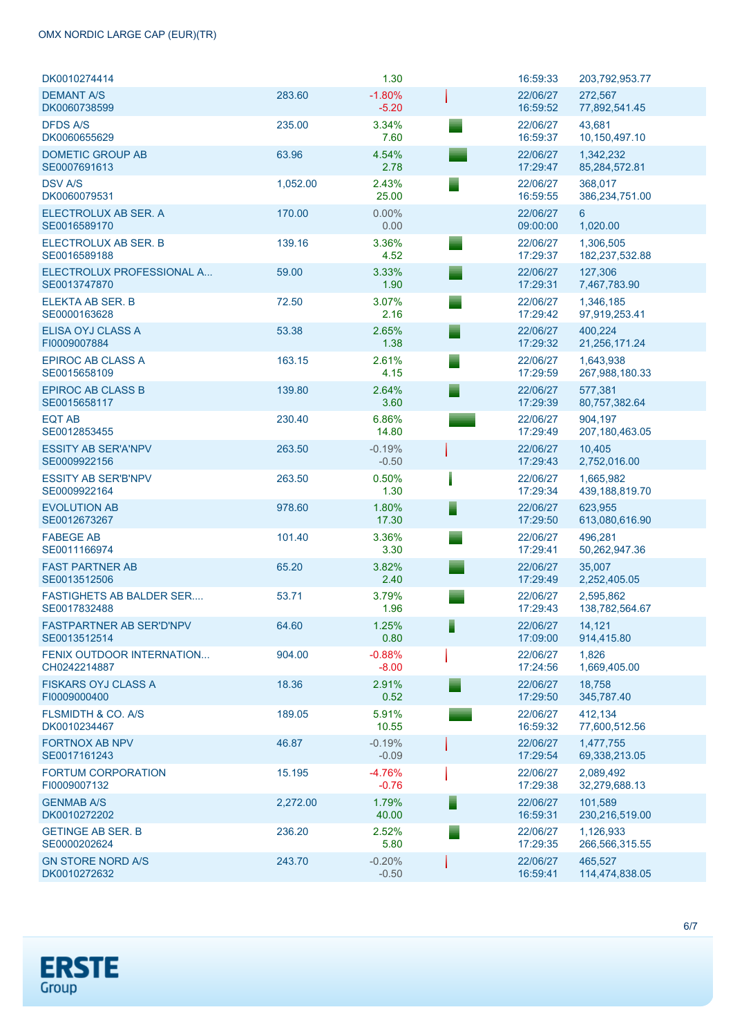| DK0010274414                                    |          | 1.30                |   | 16:59:33             | 203,792,953.77              |
|-------------------------------------------------|----------|---------------------|---|----------------------|-----------------------------|
| <b>DEMANT A/S</b><br>DK0060738599               | 283.60   | $-1.80%$<br>$-5.20$ |   | 22/06/27<br>16:59:52 | 272,567<br>77,892,541.45    |
| <b>DFDS A/S</b><br>DK0060655629                 | 235.00   | 3.34%<br>7.60       |   | 22/06/27<br>16:59:37 | 43,681<br>10,150,497.10     |
| <b>DOMETIC GROUP AB</b><br>SE0007691613         | 63.96    | 4.54%<br>2.78       |   | 22/06/27<br>17:29:47 | 1,342,232<br>85,284,572.81  |
| <b>DSV A/S</b><br>DK0060079531                  | 1,052.00 | 2.43%<br>25.00      |   | 22/06/27<br>16:59:55 | 368,017<br>386,234,751.00   |
| ELECTROLUX AB SER. A<br>SE0016589170            | 170.00   | $0.00\%$<br>0.00    |   | 22/06/27<br>09:00:00 | $6^{\circ}$<br>1,020.00     |
| ELECTROLUX AB SER. B<br>SE0016589188            | 139.16   | 3.36%<br>4.52       |   | 22/06/27<br>17:29:37 | 1,306,505<br>182,237,532.88 |
| ELECTROLUX PROFESSIONAL A<br>SE0013747870       | 59.00    | 3.33%<br>1.90       |   | 22/06/27<br>17:29:31 | 127,306<br>7,467,783.90     |
| ELEKTA AB SER. B<br>SE0000163628                | 72.50    | 3.07%<br>2.16       |   | 22/06/27<br>17:29:42 | 1,346,185<br>97,919,253.41  |
| ELISA OYJ CLASS A<br>FI0009007884               | 53.38    | 2.65%<br>1.38       |   | 22/06/27<br>17:29:32 | 400,224<br>21,256,171.24    |
| <b>EPIROC AB CLASS A</b><br>SE0015658109        | 163.15   | 2.61%<br>4.15       |   | 22/06/27<br>17:29:59 | 1.643.938<br>267,988,180.33 |
| <b>EPIROC AB CLASS B</b><br>SE0015658117        | 139.80   | 2.64%<br>3.60       | ▘ | 22/06/27<br>17:29:39 | 577,381<br>80,757,382.64    |
| <b>EQT AB</b><br>SE0012853455                   | 230.40   | 6.86%<br>14.80      |   | 22/06/27<br>17:29:49 | 904,197<br>207, 180, 463.05 |
| <b>ESSITY AB SER'A'NPV</b><br>SE0009922156      | 263.50   | $-0.19%$<br>$-0.50$ |   | 22/06/27<br>17:29:43 | 10,405<br>2,752,016.00      |
| <b>ESSITY AB SER'B'NPV</b><br>SE0009922164      | 263.50   | 0.50%<br>1.30       |   | 22/06/27<br>17:29:34 | 1,665,982<br>439,188,819.70 |
| <b>EVOLUTION AB</b><br>SE0012673267             | 978.60   | 1.80%<br>17.30      | Ē | 22/06/27<br>17:29:50 | 623,955<br>613,080,616.90   |
| <b>FABEGE AB</b><br>SE0011166974                | 101.40   | 3.36%<br>3.30       |   | 22/06/27<br>17:29:41 | 496,281<br>50,262,947.36    |
| <b>FAST PARTNER AB</b><br>SE0013512506          | 65.20    | 3.82%<br>2.40       |   | 22/06/27<br>17:29:49 | 35.007<br>2,252,405.05      |
| <b>FASTIGHETS AB BALDER SER</b><br>SE0017832488 | 53.71    | 3.79%<br>1.96       |   | 22/06/27<br>17:29:43 | 2,595,862<br>138,782,564.67 |
| <b>FASTPARTNER AB SER'D'NPV</b><br>SE0013512514 | 64.60    | 1.25%<br>0.80       |   | 22/06/27<br>17:09:00 | 14,121<br>914,415.80        |
| FENIX OUTDOOR INTERNATION<br>CH0242214887       | 904.00   | $-0.88%$<br>$-8.00$ |   | 22/06/27<br>17:24:56 | 1,826<br>1,669,405.00       |
| <b>FISKARS OYJ CLASS A</b><br>FI0009000400      | 18.36    | 2.91%<br>0.52       |   | 22/06/27<br>17:29:50 | 18,758<br>345,787.40        |
| <b>FLSMIDTH &amp; CO. A/S</b><br>DK0010234467   | 189.05   | 5.91%<br>10.55      |   | 22/06/27<br>16:59:32 | 412,134<br>77,600,512.56    |
| <b>FORTNOX AB NPV</b><br>SE0017161243           | 46.87    | $-0.19%$<br>$-0.09$ |   | 22/06/27<br>17:29:54 | 1,477,755<br>69,338,213.05  |
| <b>FORTUM CORPORATION</b><br>FI0009007132       | 15.195   | $-4.76%$<br>$-0.76$ |   | 22/06/27<br>17:29:38 | 2,089,492<br>32,279,688.13  |
| <b>GENMAB A/S</b><br>DK0010272202               | 2,272.00 | 1.79%<br>40.00      |   | 22/06/27<br>16:59:31 | 101,589<br>230,216,519.00   |
| <b>GETINGE AB SER. B</b><br>SE0000202624        | 236.20   | 2.52%<br>5.80       |   | 22/06/27<br>17:29:35 | 1,126,933<br>266,566,315.55 |
| <b>GN STORE NORD A/S</b><br>DK0010272632        | 243.70   | $-0.20%$<br>$-0.50$ |   | 22/06/27<br>16:59:41 | 465,527<br>114,474,838.05   |